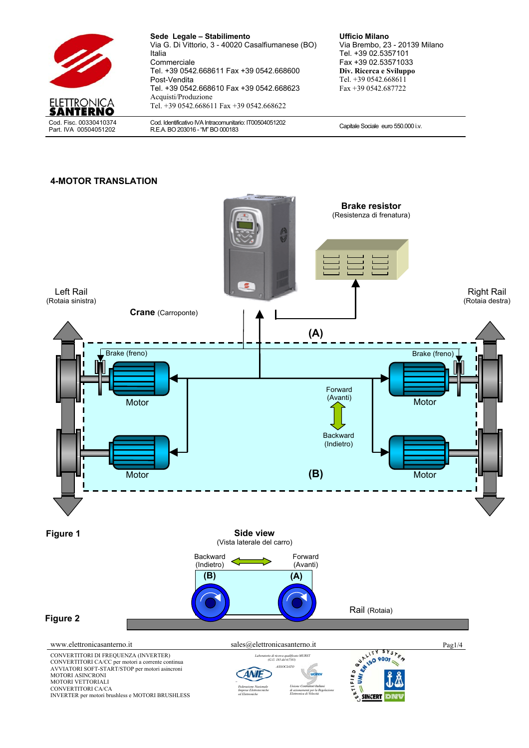

**Sede Legale – Stabilimento**  Via G. Di Vittorio, 3 - 40020 Casalfiumanese (BO) Italia **Commerciale** Tel. +39 0542.668611 Fax +39 0542.668600 Post-Vendita Tel. +39 0542.668610 Fax +39 0542.668623 Acquisti/Produzione Tel. +39 0542.668611 Fax +39 0542.668622

Cod. Identificativo IVA Intracomunitario: IT00504051202 Cod. Identificativo IVA intracomunitario: ITU0504051202<br>R.E.A. BO 203016 - "M" BO 000183

**Ufficio Milano**  Via Brembo, 23 - 20139 Milano Tel. +39 02.5357101 Fax +39 02.53571033 **Div. Ricerca e Sviluppo**  Tel. +39 0542.668611 Fax +39 0542.687722

#### **4-MOTOR TRANSLATION**

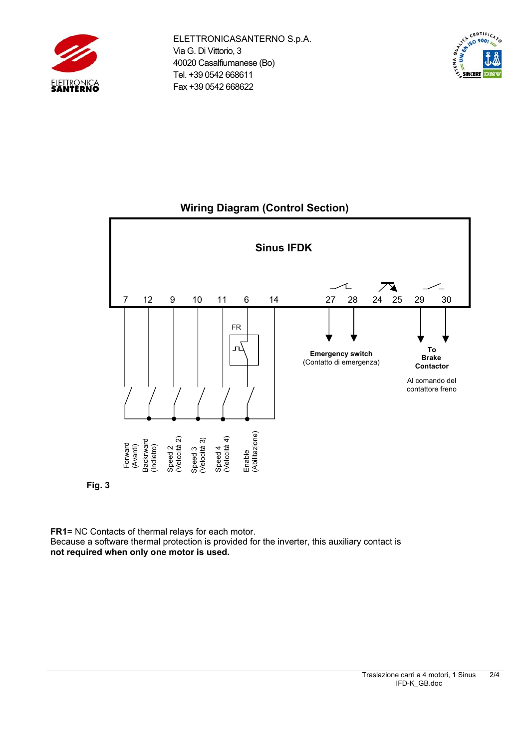





**Wiring Diagram (Control Section)** 



**FR1**= NC Contacts of thermal relays for each motor. Because a software thermal protection is provided for the inverter, this auxiliary contact is **not required when only one motor is used.**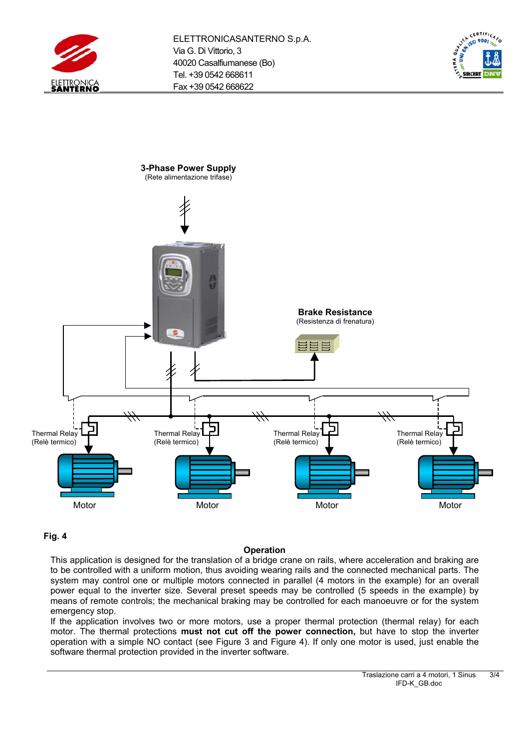





## **Fig. 4**

## **Operation**

This application is designed for the translation of a bridge crane on rails, where acceleration and braking are to be controlled with a uniform motion, thus avoiding wearing rails and the connected mechanical parts. The system may control one or multiple motors connected in parallel (4 motors in the example) for an overall power equal to the inverter size. Several preset speeds may be controlled (5 speeds in the example) by means of remote controls; the mechanical braking may be controlled for each manoeuvre or for the system emergency stop.

If the application involves two or more motors, use a proper thermal protection (thermal relay) for each motor. The thermal protections **must not cut off the power connection,** but have to stop the inverter operation with a simple NO contact (see Figure 3 and Figure 4). If only one motor is used, just enable the software thermal protection provided in the inverter software.